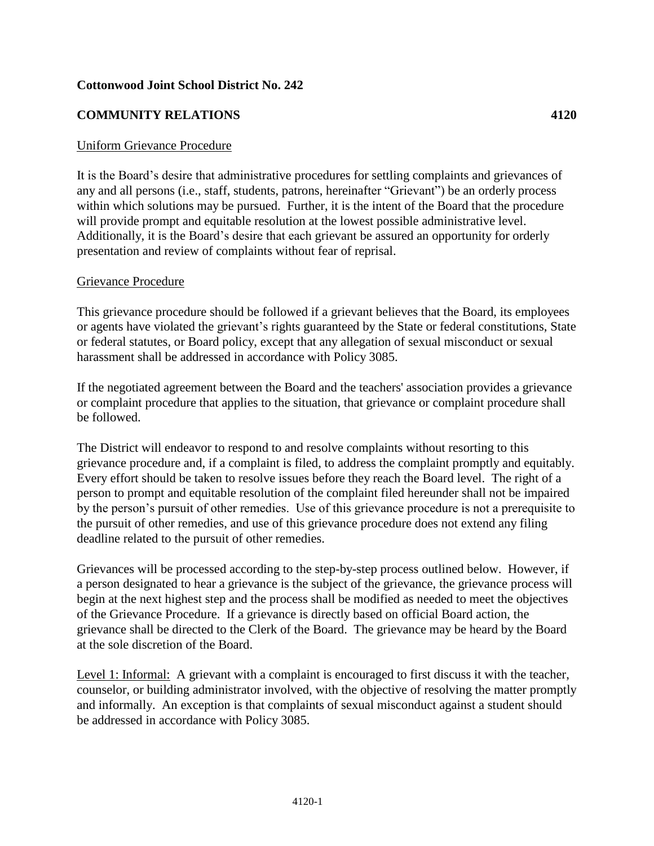## **Cottonwood Joint School District No. 242**

## **COMMUNITY RELATIONS 4120**

## Uniform Grievance Procedure

It is the Board's desire that administrative procedures for settling complaints and grievances of any and all persons (i.e., staff, students, patrons, hereinafter "Grievant") be an orderly process within which solutions may be pursued. Further, it is the intent of the Board that the procedure will provide prompt and equitable resolution at the lowest possible administrative level. Additionally, it is the Board's desire that each grievant be assured an opportunity for orderly presentation and review of complaints without fear of reprisal.

## Grievance Procedure

This grievance procedure should be followed if a grievant believes that the Board, its employees or agents have violated the grievant's rights guaranteed by the State or federal constitutions, State or federal statutes, or Board policy, except that any allegation of sexual misconduct or sexual harassment shall be addressed in accordance with Policy 3085.

If the negotiated agreement between the Board and the teachers' association provides a grievance or complaint procedure that applies to the situation, that grievance or complaint procedure shall be followed.

The District will endeavor to respond to and resolve complaints without resorting to this grievance procedure and, if a complaint is filed, to address the complaint promptly and equitably. Every effort should be taken to resolve issues before they reach the Board level. The right of a person to prompt and equitable resolution of the complaint filed hereunder shall not be impaired by the person's pursuit of other remedies. Use of this grievance procedure is not a prerequisite to the pursuit of other remedies, and use of this grievance procedure does not extend any filing deadline related to the pursuit of other remedies.

Grievances will be processed according to the step-by-step process outlined below. However, if a person designated to hear a grievance is the subject of the grievance, the grievance process will begin at the next highest step and the process shall be modified as needed to meet the objectives of the Grievance Procedure. If a grievance is directly based on official Board action, the grievance shall be directed to the Clerk of the Board. The grievance may be heard by the Board at the sole discretion of the Board.

Level 1: Informal: A grievant with a complaint is encouraged to first discuss it with the teacher, counselor, or building administrator involved, with the objective of resolving the matter promptly and informally. An exception is that complaints of sexual misconduct against a student should be addressed in accordance with Policy 3085.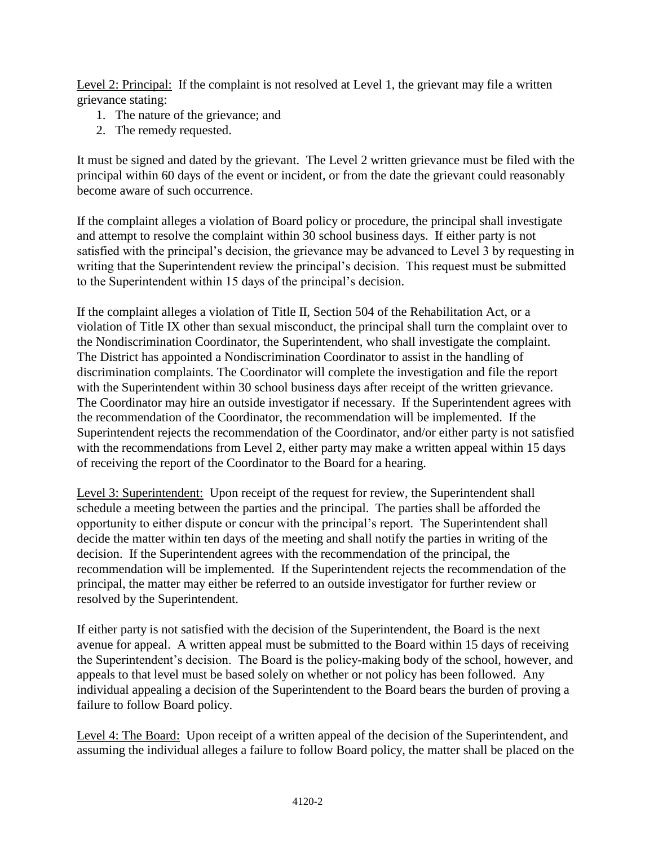Level 2: Principal: If the complaint is not resolved at Level 1, the grievant may file a written grievance stating:

- 1. The nature of the grievance; and
- 2. The remedy requested.

It must be signed and dated by the grievant. The Level 2 written grievance must be filed with the principal within 60 days of the event or incident, or from the date the grievant could reasonably become aware of such occurrence.

If the complaint alleges a violation of Board policy or procedure, the principal shall investigate and attempt to resolve the complaint within 30 school business days. If either party is not satisfied with the principal's decision, the grievance may be advanced to Level 3 by requesting in writing that the Superintendent review the principal's decision. This request must be submitted to the Superintendent within 15 days of the principal's decision.

If the complaint alleges a violation of Title II, Section 504 of the Rehabilitation Act, or a violation of Title IX other than sexual misconduct, the principal shall turn the complaint over to the Nondiscrimination Coordinator, the Superintendent, who shall investigate the complaint. The District has appointed a Nondiscrimination Coordinator to assist in the handling of discrimination complaints. The Coordinator will complete the investigation and file the report with the Superintendent within 30 school business days after receipt of the written grievance. The Coordinator may hire an outside investigator if necessary. If the Superintendent agrees with the recommendation of the Coordinator, the recommendation will be implemented. If the Superintendent rejects the recommendation of the Coordinator, and/or either party is not satisfied with the recommendations from Level 2, either party may make a written appeal within 15 days of receiving the report of the Coordinator to the Board for a hearing.

Level 3: Superintendent: Upon receipt of the request for review, the Superintendent shall schedule a meeting between the parties and the principal. The parties shall be afforded the opportunity to either dispute or concur with the principal's report. The Superintendent shall decide the matter within ten days of the meeting and shall notify the parties in writing of the decision. If the Superintendent agrees with the recommendation of the principal, the recommendation will be implemented. If the Superintendent rejects the recommendation of the principal, the matter may either be referred to an outside investigator for further review or resolved by the Superintendent.

If either party is not satisfied with the decision of the Superintendent, the Board is the next avenue for appeal. A written appeal must be submitted to the Board within 15 days of receiving the Superintendent's decision. The Board is the policy-making body of the school, however, and appeals to that level must be based solely on whether or not policy has been followed. Any individual appealing a decision of the Superintendent to the Board bears the burden of proving a failure to follow Board policy.

Level 4: The Board: Upon receipt of a written appeal of the decision of the Superintendent, and assuming the individual alleges a failure to follow Board policy, the matter shall be placed on the